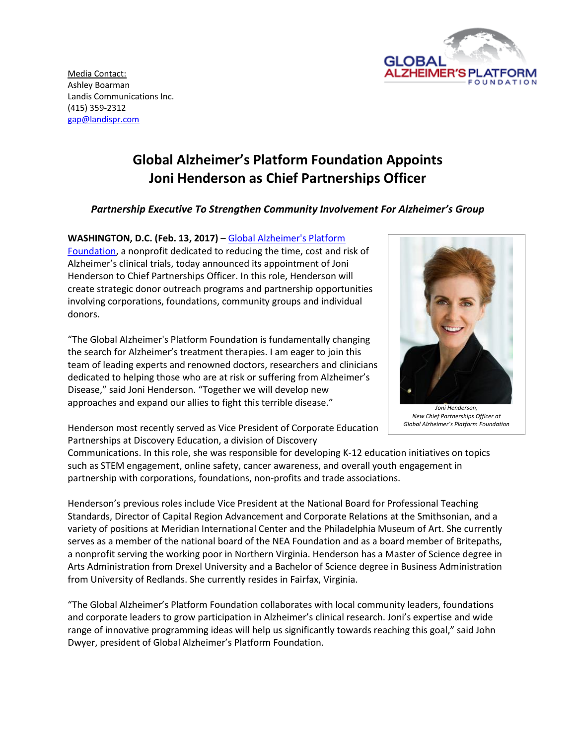

Media Contact: Ashley Boarman Landis Communications Inc. (415) 359-2312 [gap@landispr.com](mailto:gap@landispr.com)

## **Global Alzheimer's Platform Foundation Appoints Joni Henderson as Chief Partnerships Officer**

## *Partnership Executive To Strengthen Community Involvement For Alzheimer's Group*

**WASHINGTON, D.C. (Feb. 13, 2017)** – [Global Alzheimer's Platform](http://globalalzplatform.org/) 

[Foundation,](http://globalalzplatform.org/) a nonprofit dedicated to reducing the time, cost and risk of Alzheimer's clinical trials, today announced its appointment of Joni Henderson to Chief Partnerships Officer. In this role, Henderson will create strategic donor outreach programs and partnership opportunities involving corporations, foundations, community groups and individual donors.

"The Global Alzheimer's Platform Foundation is fundamentally changing the search for Alzheimer's treatment therapies. I am eager to join this team of leading experts and renowned doctors, researchers and clinicians dedicated to helping those who are at risk or suffering from Alzheimer's Disease," said Joni Henderson. "Together we will develop new approaches and expand our allies to fight this terrible disease."



*New Chief Partnerships Officer at Global Alzheimer's Platform Foundation*

Henderson most recently served as Vice President of Corporate Education Partnerships at Discovery Education, a division of Discovery

Communications. In this role, she was responsible for developing K-12 education initiatives on topics such as STEM engagement, online safety, cancer awareness, and overall youth engagement in partnership with corporations, foundations, non-profits and trade associations.

Henderson's previous roles include Vice President at the National Board for Professional Teaching Standards, Director of Capital Region Advancement and Corporate Relations at the Smithsonian, and a variety of positions at Meridian International Center and the Philadelphia Museum of Art. She currently serves as a member of the national board of the NEA Foundation and as a board member of Britepaths, a nonprofit serving the working poor in Northern Virginia. Henderson has a Master of Science degree in Arts Administration from Drexel University and a Bachelor of Science degree in Business Administration from University of Redlands. She currently resides in Fairfax, Virginia.

"The Global Alzheimer's Platform Foundation collaborates with local community leaders, foundations and corporate leaders to grow participation in Alzheimer's clinical research. Joni's expertise and wide range of innovative programming ideas will help us significantly towards reaching this goal," said John Dwyer, president of Global Alzheimer's Platform Foundation.